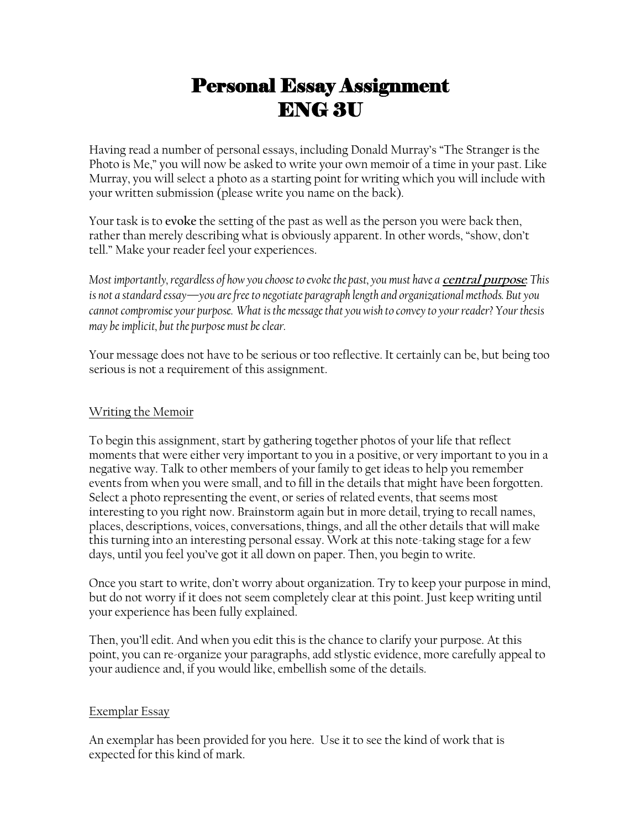# Personal Essay Assignment ENG 3U

Having read a number of personal essays, including Donald Murray's "The Stranger is the Photo is Me," you will now be asked to write your own memoir of a time in your past. Like Murray, you will select a photo as a starting point for writing which you will include with your written submission (please write you name on the back).

Your task is to **evoke** the setting of the past as well as the person you were back then, rather than merely describing what is obviously apparent. In other words, "show, don't tell." Make your reader feel your experiences.

*Most importantly, regardless of how you choose to evoke the past, you must have a central purpose. This is not a standard essay—you are free to negotiate paragraph length and organizational methods. But you cannot compromise your purpose. What is the message that you wish to convey to your reader? Your thesis may be implicit, but the purpose must be clear.* 

Your message does not have to be serious or too reflective. It certainly can be, but being too serious is not a requirement of this assignment.

## Writing the Memoir

To begin this assignment, start by gathering together photos of your life that reflect moments that were either very important to you in a positive, or very important to you in a negative way. Talk to other members of your family to get ideas to help you remember events from when you were small, and to fill in the details that might have been forgotten. Select a photo representing the event, or series of related events, that seems most interesting to you right now. Brainstorm again but in more detail, trying to recall names, places, descriptions, voices, conversations, things, and all the other details that will make this turning into an interesting personal essay. Work at this note-taking stage for a few days, until you feel you've got it all down on paper. Then, you begin to write.

Once you start to write, don't worry about organization. Try to keep your purpose in mind, but do not worry if it does not seem completely clear at this point. Just keep writing until your experience has been fully explained.

Then, you'll edit. And when you edit this is the chance to clarify your purpose. At this point, you can re-organize your paragraphs, add stlystic evidence, more carefully appeal to your audience and, if you would like, embellish some of the details.

### Exemplar Essay

An exemplar has been provided for you here. Use it to see the kind of work that is expected for this kind of mark.